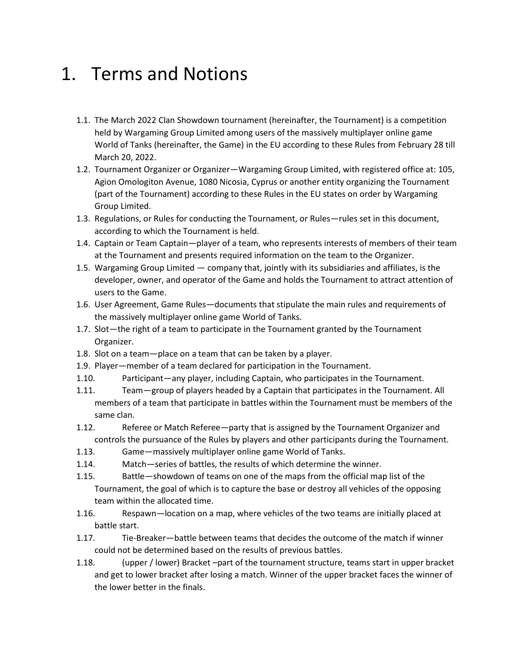#### 1. Terms and Notions

- 1.1. The March 2022 Clan Showdown tournament (hereinafter, the Tournament) is a competition held by Wargaming Group Limited among users of the massively multiplayer online game World of Tanks (hereinafter, the Game) in the EU according to these Rules from February 28 till March 20, 2022.
- 1.2. Tournament Organizer or Organizer—Wargaming Group Limited, with registered office at: 105, Agion Omologiton Avenue, 1080 Nicosia, Cyprus or another entity organizing the Tournament (part of the Tournament) according to these Rules in the EU states on order by Wargaming Group Limited.
- 1.3. Regulations, or Rules for conducting the Tournament, or Rules—rules set in this document, according to which the Tournament is held.
- 1.4. Captain or Team Captain—player of a team, who represents interests of members of their team at the Tournament and presents required information on the team to the Organizer.
- 1.5. Wargaming Group Limited company that, jointly with its subsidiaries and affiliates, is the developer, owner, and operator of the Game and holds the Tournament to attract attention of users to the Game.
- 1.6. User Agreement, Game Rules—documents that stipulate the main rules and requirements of the massively multiplayer online game World of Tanks.
- 1.7. Slot—the right of a team to participate in the Tournament granted by the Tournament Organizer.
- 1.8. Slot on a team—place on a team that can be taken by a player.
- 1.9. Player—member of a team declared for participation in the Tournament.
- 1.10. Participant—any player, including Captain, who participates in the Tournament.
- 1.11. Team—group of players headed by a Captain that participates in the Tournament. All members of a team that participate in battles within the Tournament must be members of the same clan.
- 1.12. Referee or Match Referee—party that is assigned by the Tournament Organizer and controls the pursuance of the Rules by players and other participants during the Tournament.
- 1.13. Game—massively multiplayer online game World of Tanks.
- 1.14. Match—series of battles, the results of which determine the winner.
- 1.15. Battle—showdown of teams on one of the maps from the official map list of the Tournament, the goal of which is to capture the base or destroy all vehicles of the opposing team within the allocated time.
- 1.16. Respawn—location on a map, where vehicles of the two teams are initially placed at battle start.
- 1.17. Tie-Breaker—battle between teams that decides the outcome of the match if winner could not be determined based on the results of previous battles.
- 1.18. (upper / lower) Bracket –part of the tournament structure, teams start in upper bracket and get to lower bracket after losing a match. Winner of the upper bracket faces the winner of the lower better in the finals.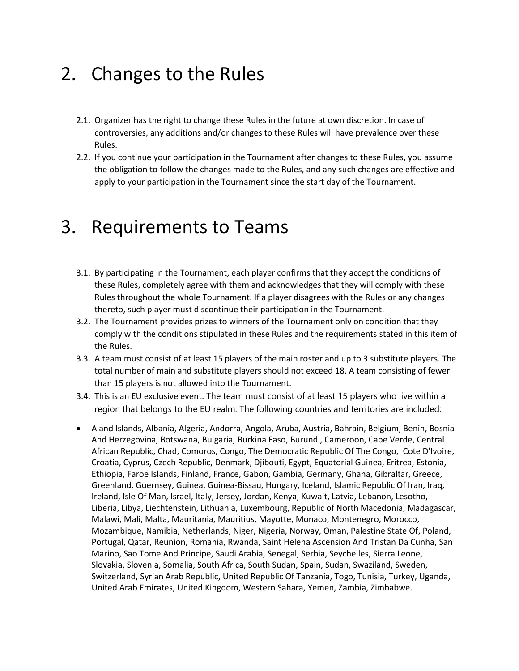## 2. Changes to the Rules

- 2.1. Organizer has the right to change these Rules in the future at own discretion. In case of controversies, any additions and/or changes to these Rules will have prevalence over these Rules.
- 2.2. If you continue your participation in the Tournament after changes to these Rules, you assume the obligation to follow the changes made to the Rules, and any such changes are effective and apply to your participation in the Tournament since the start day of the Tournament.

#### 3. Requirements to Teams

- 3.1. By participating in the Tournament, each player confirms that they accept the conditions of these Rules, completely agree with them and acknowledges that they will comply with these Rules throughout the whole Tournament. If a player disagrees with the Rules or any changes thereto, such player must discontinue their participation in the Tournament.
- 3.2. The Tournament provides prizes to winners of the Tournament only on condition that they comply with the conditions stipulated in these Rules and the requirements stated in this item of the Rules.
- 3.3. A team must consist of at least 15 players of the main roster and up to 3 substitute players. The total number of main and substitute players should not exceed 18. A team consisting of fewer than 15 players is not allowed into the Tournament.
- 3.4. This is an EU exclusive event. The team must consist of at least 15 players who live within a region that belongs to the EU realm. The following countries and territories are included:
- Aland Islands, Albania, Algeria, Andorra, Angola, Aruba, Austria, Bahrain, Belgium, Benin, Bosnia And Herzegovina, Botswana, Bulgaria, Burkina Faso, Burundi, Cameroon, Cape Verde, Central African Republic, Chad, Comoros, Congo, The Democratic Republic Of The Congo, Cote D'Ivoire, Croatia, Cyprus, Czech Republic, Denmark, Djibouti, Egypt, Equatorial Guinea, Eritrea, Estonia, Ethiopia, Faroe Islands, Finland, France, Gabon, Gambia, Germany, Ghana, Gibraltar, Greece, Greenland, Guernsey, Guinea, Guinea-Bissau, Hungary, Iceland, Islamic Republic Of Iran, Iraq, Ireland, Isle Of Man, Israel, Italy, Jersey, Jordan, Kenya, Kuwait, Latvia, Lebanon, Lesotho, Liberia, Libya, Liechtenstein, Lithuania, Luxembourg, Republic of North Macedonia, Madagascar, Malawi, Mali, Malta, Mauritania, Mauritius, Mayotte, Monaco, Montenegro, Morocco, Mozambique, Namibia, Netherlands, Niger, Nigeria, Norway, Oman, Palestine State Of, Poland, Portugal, Qatar, Reunion, Romania, Rwanda, Saint Helena Ascension And Tristan Da Cunha, San Marino, Sao Tome And Principe, Saudi Arabia, Senegal, Serbia, Seychelles, Sierra Leone, Slovakia, Slovenia, Somalia, South Africa, South Sudan, Spain, Sudan, Swaziland, Sweden, Switzerland, Syrian Arab Republic, United Republic Of Tanzania, Togo, Tunisia, Turkey, Uganda, United Arab Emirates, United Kingdom, Western Sahara, Yemen, Zambia, Zimbabwe.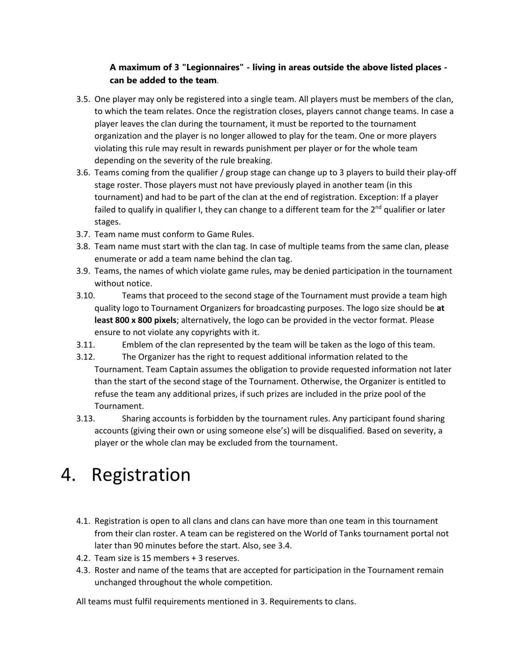#### **A maximum of 3 "Legionnaires" - living in areas outside the above listed places can be added to the team**.

- 3.5. One player may only be registered into a single team. All players must be members of the clan, to which the team relates. Once the registration closes, players cannot change teams. In case a player leaves the clan during the tournament, it must be reported to the tournament organization and the player is no longer allowed to play for the team. One or more players violating this rule may result in rewards punishment per player or for the whole team depending on the severity of the rule breaking.
- 3.6. Teams coming from the qualifier / group stage can change up to 3 players to build their play-off stage roster. Those players must not have previously played in another team (in this tournament) and had to be part of the clan at the end of registration. Exception: If a player failed to qualify in qualifier I, they can change to a different team for the 2<sup>nd</sup> qualifier or later stages.
- 3.7. Team name must conform to Game Rules.
- 3.8. Team name must start with the clan tag. In case of multiple teams from the same clan, please enumerate or add a team name behind the clan tag.
- 3.9. Teams, the names of which violate game rules, may be denied participation in the tournament without notice.
- 3.10. Teams that proceed to the second stage of the Tournament must provide a team high quality logo to Tournament Organizers for broadcasting purposes. The logo size should be **at least 800 x 800 pixels**; alternatively, the logo can be provided in the vector format. Please ensure to not violate any copyrights with it.
- 3.11. Emblem of the clan represented by the team will be taken as the logo of this team.
- 3.12. The Organizer has the right to request additional information related to the Tournament. Team Captain assumes the obligation to provide requested information not later than the start of the second stage of the Tournament. Otherwise, the Organizer is entitled to refuse the team any additional prizes, if such prizes are included in the prize pool of the Tournament.
- 3.13. Sharing accounts is forbidden by the tournament rules. Any participant found sharing accounts (giving their own or using someone else's) will be disqualified. Based on severity, a player or the whole clan may be excluded from the tournament.

# 4. Registration

- 4.1. Registration is open to all clans and clans can have more than one team in this tournament from their clan roster. A team can be registered on the World of Tanks tournament portal not later than 90 minutes before the start. Also, see 3.4.
- 4.2. Team size is 15 members + 3 reserves.
- 4.3. Roster and name of the teams that are accepted for participation in the Tournament remain unchanged throughout the whole competition.

All teams must fulfil requirements mentioned in 3. Requirements to clans.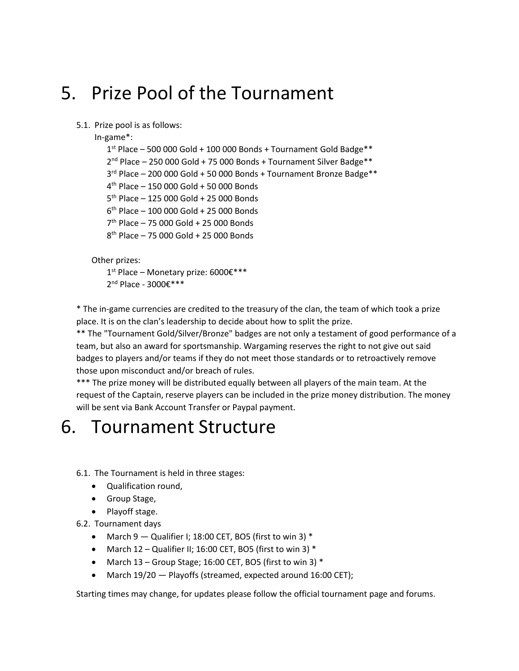### 5. Prize Pool of the Tournament

#### 5.1. Prize pool is as follows:

In-game\*:

 st Place – 500 000 Gold + 100 000 Bonds + Tournament Gold Badge\*\* 2<sup>nd</sup> Place - 250 000 Gold + 75 000 Bonds + Tournament Silver Badge\*\* rd Place – 200 000 Gold + 50 000 Bonds + Tournament Bronze Badge\*\* th Place – 150 000 Gold + 50 000 Bonds th Place – 125 000 Gold + 25 000 Bonds th Place – 100 000 Gold + 25 000 Bonds th Place – 75 000 Gold + 25 000 Bonds th Place – 75 000 Gold + 25 000 Bonds

Other prizes:

1<sup>st</sup> Place – Monetary prize: 6000€\*\*\*

2<sup>nd</sup> Place - 3000€\*\*\*

\* The in-game currencies are credited to the treasury of the clan, the team of which took a prize place. It is on the clan's leadership to decide about how to split the prize.

\*\* The "Tournament Gold/Silver/Bronze" badges are not only a testament of good performance of a team, but also an award for sportsmanship. Wargaming reserves the right to not give out said badges to players and/or teams if they do not meet those standards or to retroactively remove those upon misconduct and/or breach of rules.

\*\*\* The prize money will be distributed equally between all players of the main team. At the request of the Captain, reserve players can be included in the prize money distribution. The money will be sent via Bank Account Transfer or Paypal payment.

#### 6. Tournament Structure

6.1. The Tournament is held in three stages:

- Qualification round,
- Group Stage,
- Playoff stage.
- 6.2. Tournament days
	- March  $9 -$  Qualifier I; 18:00 CET, BO5 (first to win 3)  $*$
	- March  $12$  Qualifier II; 16:00 CET, BO5 (first to win 3)  $*$
	- March 13 Group Stage; 16:00 CET, BO5 (first to win 3) \*
	- March 19/20 Playoffs (streamed, expected around 16:00 CET);

Starting times may change, for updates please follow the official tournament page and forums.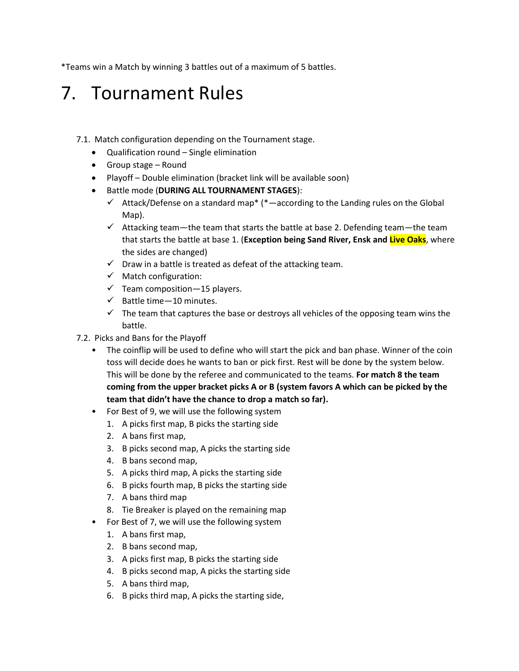\*Teams win a Match by winning 3 battles out of a maximum of 5 battles.

### 7. Tournament Rules

- 7.1. Match configuration depending on the Tournament stage.
	- Qualification round Single elimination
	- Group stage Round
	- Playoff Double elimination (bracket link will be available soon)
	- Battle mode (**DURING ALL TOURNAMENT STAGES**):
		- $\checkmark$  Attack/Defense on a standard map\* (\*—according to the Landing rules on the Global Map).
		- $\checkmark$  Attacking team—the team that starts the battle at base 2. Defending team—the team that starts the battle at base 1. (**Exception being Sand River, Ensk and Live Oaks**, where the sides are changed)
		- $\checkmark$  Draw in a battle is treated as defeat of the attacking team.
		- ✓ Match configuration:
		- $\checkmark$  Team composition 15 players.
		- $\checkmark$  Battle time 10 minutes.
		- $\checkmark$  The team that captures the base or destroys all vehicles of the opposing team wins the battle.
- 7.2. Picks and Bans for the Playoff
	- The coinflip will be used to define who will start the pick and ban phase. Winner of the coin toss will decide does he wants to ban or pick first. Rest will be done by the system below. This will be done by the referee and communicated to the teams. **For match 8 the team coming from the upper bracket picks A or B (system favors A which can be picked by the team that didn't have the chance to drop a match so far).**
	- For Best of 9, we will use the following system
		- 1. A picks first map, B picks the starting side
		- 2. A bans first map,
		- 3. B picks second map, A picks the starting side
		- 4. B bans second map,
		- 5. A picks third map, A picks the starting side
		- 6. B picks fourth map, B picks the starting side
		- 7. A bans third map
		- 8. Tie Breaker is played on the remaining map
	- For Best of 7, we will use the following system
		- 1. A bans first map,
		- 2. B bans second map,
		- 3. A picks first map, B picks the starting side
		- 4. B picks second map, A picks the starting side
		- 5. A bans third map,
		- 6. B picks third map, A picks the starting side,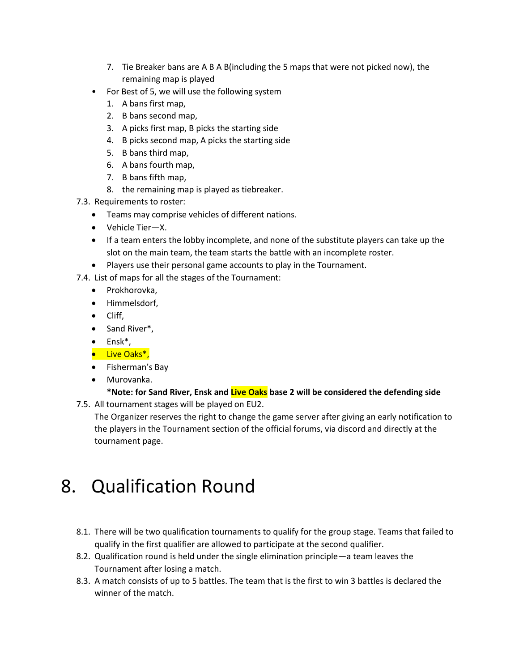- 7. Tie Breaker bans are A B A B(including the 5 maps that were not picked now), the remaining map is played
- For Best of 5, we will use the following system
	- 1. A bans first map,
	- 2. B bans second map,
	- 3. A picks first map, B picks the starting side
	- 4. B picks second map, A picks the starting side
	- 5. B bans third map,
	- 6. A bans fourth map,
	- 7. B bans fifth map,
	- 8. the remaining map is played as tiebreaker.
- 7.3. Requirements to roster:
	- Teams may comprise vehicles of different nations.
	- Vehicle Tier—X.
	- If a team enters the lobby incomplete, and none of the substitute players can take up the slot on the main team, the team starts the battle with an incomplete roster.
	- Players use their personal game accounts to play in the Tournament.

7.4. List of maps for all the stages of the Tournament:

- Prokhorovka,
- Himmelsdorf,
- Cliff,
- Sand River\*,
- Ensk\*,
- Live Oaks\*,
- Fisherman's Bay
- Murovanka.

#### **\*Note: for Sand River, Ensk and Live Oaks base 2 will be considered the defending side** 7.5. All tournament stages will be played on EU2.

The Organizer reserves the right to change the game server after giving an early notification to the players in the Tournament section of the official forums, via discord and directly at the tournament page.

# 8. Qualification Round

- 8.1. There will be two qualification tournaments to qualify for the group stage. Teams that failed to qualify in the first qualifier are allowed to participate at the second qualifier.
- 8.2. Qualification round is held under the single elimination principle—a team leaves the Tournament after losing a match.
- 8.3. A match consists of up to 5 battles. The team that is the first to win 3 battles is declared the winner of the match.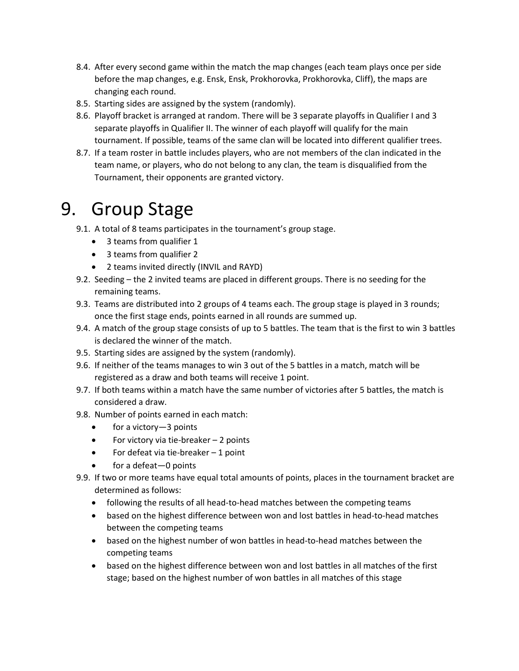- 8.4. After every second game within the match the map changes (each team plays once per side before the map changes, e.g. Ensk, Ensk, Prokhorovka, Prokhorovka, Cliff), the maps are changing each round.
- 8.5. Starting sides are assigned by the system (randomly).
- 8.6. Playoff bracket is arranged at random. There will be 3 separate playoffs in Qualifier I and 3 separate playoffs in Qualifier II. The winner of each playoff will qualify for the main tournament. If possible, teams of the same clan will be located into different qualifier trees.
- 8.7. If a team roster in battle includes players, who are not members of the clan indicated in the team name, or players, who do not belong to any clan, the team is disqualified from the Tournament, their opponents are granted victory.

## 9. Group Stage

- 9.1. A total of 8 teams participates in the tournament's group stage.
	- 3 teams from qualifier 1
	- 3 teams from qualifier 2
	- 2 teams invited directly (INVIL and RAYD)
- 9.2. Seeding the 2 invited teams are placed in different groups. There is no seeding for the remaining teams.
- 9.3. Teams are distributed into 2 groups of 4 teams each. The group stage is played in 3 rounds; once the first stage ends, points earned in all rounds are summed up.
- 9.4. A match of the group stage consists of up to 5 battles. The team that is the first to win 3 battles is declared the winner of the match.
- 9.5. Starting sides are assigned by the system (randomly).
- 9.6. If neither of the teams manages to win 3 out of the 5 battles in a match, match will be registered as a draw and both teams will receive 1 point.
- 9.7. If both teams within a match have the same number of victories after 5 battles, the match is considered a draw.
- 9.8. Number of points earned in each match:
	- for a victory-3 points
	- For victory via tie-breaker 2 points
	- For defeat via tie-breaker 1 point
	- for a defeat-0 points
- 9.9. If two or more teams have equal total amounts of points, places in the tournament bracket are determined as follows:
	- following the results of all head-to-head matches between the competing teams
	- based on the highest difference between won and lost battles in head-to-head matches between the competing teams
	- based on the highest number of won battles in head-to-head matches between the competing teams
	- based on the highest difference between won and lost battles in all matches of the first stage; based on the highest number of won battles in all matches of this stage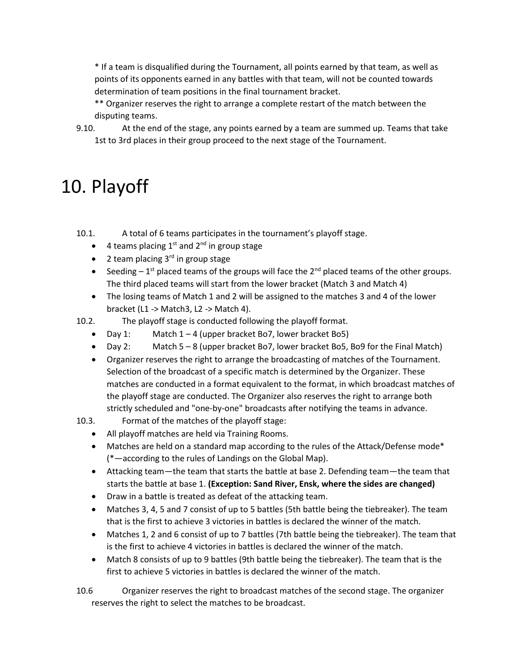\* If a team is disqualified during the Tournament, all points earned by that team, as well as points of its opponents earned in any battles with that team, will not be counted towards determination of team positions in the final tournament bracket.

\*\* Organizer reserves the right to arrange a complete restart of the match between the disputing teams.

9.10. At the end of the stage, any points earned by a team are summed up. Teams that take 1st to 3rd places in their group proceed to the next stage of the Tournament.

# 10. Playoff

10.1. A total of 6 teams participates in the tournament's playoff stage.

- 4 teams placing  $1^{st}$  and  $2^{nd}$  in group stage
- 2 team placing 3<sup>rd</sup> in group stage
- Seeding  $-1^{st}$  placed teams of the groups will face the  $2^{nd}$  placed teams of the other groups. The third placed teams will start from the lower bracket (Match 3 and Match 4)
- The losing teams of Match 1 and 2 will be assigned to the matches 3 and 4 of the lower bracket (L1 -> Match3, L2 -> Match 4).
- 10.2. The playoff stage is conducted following the playoff format.
	- Day 1: Match  $1 4$  (upper bracket Bo7, lower bracket Bo5)
	- Day 2: Match 5 8 (upper bracket Bo7, lower bracket Bo5, Bo9 for the Final Match)
	- Organizer reserves the right to arrange the broadcasting of matches of the Tournament. Selection of the broadcast of a specific match is determined by the Organizer. These matches are conducted in a format equivalent to the format, in which broadcast matches of the playoff stage are conducted. The Organizer also reserves the right to arrange both strictly scheduled and "one-by-one" broadcasts after notifying the teams in advance.
- 10.3. Format of the matches of the playoff stage:
	- All playoff matches are held via Training Rooms.
	- Matches are held on a standard map according to the rules of the Attack/Defense mode\* (\*—according to the rules of Landings on the Global Map).
	- Attacking team—the team that starts the battle at base 2. Defending team—the team that starts the battle at base 1. **(Exception: Sand River, Ensk, where the sides are changed)**
	- Draw in a battle is treated as defeat of the attacking team.
	- Matches 3, 4, 5 and 7 consist of up to 5 battles (5th battle being the tiebreaker). The team that is the first to achieve 3 victories in battles is declared the winner of the match.
	- Matches 1, 2 and 6 consist of up to 7 battles (7th battle being the tiebreaker). The team that is the first to achieve 4 victories in battles is declared the winner of the match.
	- Match 8 consists of up to 9 battles (9th battle being the tiebreaker). The team that is the first to achieve 5 victories in battles is declared the winner of the match.

10.6 Organizer reserves the right to broadcast matches of the second stage. The organizer reserves the right to select the matches to be broadcast.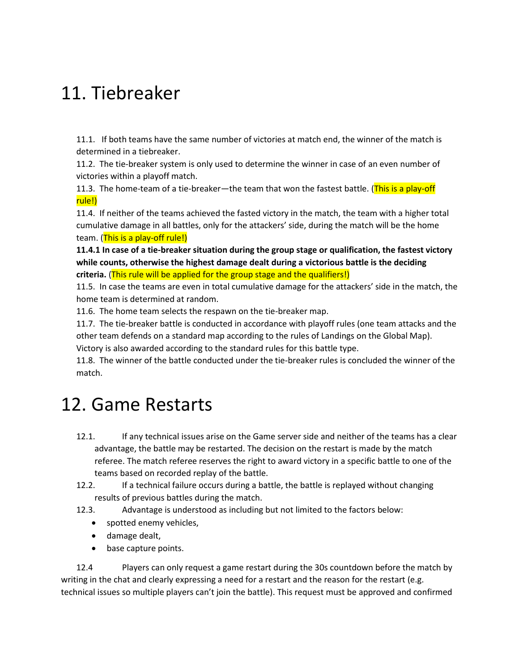#### 11. Tiebreaker

11.1. If both teams have the same number of victories at match end, the winner of the match is determined in a tiebreaker.

11.2. The tie-breaker system is only used to determine the winner in case of an even number of victories within a playoff match.

11.3. The home-team of a tie-breaker—the team that won the fastest battle. (This is a play-off rule!)

11.4. If neither of the teams achieved the fasted victory in the match, the team with a higher total cumulative damage in all battles, only for the attackers' side, during the match will be the home team. (This is a play-off rule!)

**11.4.1 In case of a tie-breaker situation during the group stage or qualification, the fastest victory while counts, otherwise the highest damage dealt during a victorious battle is the deciding criteria.** (This rule will be applied for the group stage and the qualifiers!)

11.5. In case the teams are even in total cumulative damage for the attackers' side in the match, the home team is determined at random.

11.6. The home team selects the respawn on the tie-breaker map.

11.7. The tie-breaker battle is conducted in accordance with playoff rules (one team attacks and the other team defends on a standard map according to the rules of Landings on the Global Map).

Victory is also awarded according to the standard rules for this battle type.

11.8. The winner of the battle conducted under the tie-breaker rules is concluded the winner of the match.

### 12. Game Restarts

- 12.1. If any technical issues arise on the Game server side and neither of the teams has a clear advantage, the battle may be restarted. The decision on the restart is made by the match referee. The match referee reserves the right to award victory in a specific battle to one of the teams based on recorded replay of the battle.
- 12.2. If a technical failure occurs during a battle, the battle is replayed without changing results of previous battles during the match.
- 12.3. Advantage is understood as including but not limited to the factors below:
	- spotted enemy vehicles,
	- damage dealt,
	- base capture points.

12.4 Players can only request a game restart during the 30s countdown before the match by writing in the chat and clearly expressing a need for a restart and the reason for the restart (e.g. technical issues so multiple players can't join the battle). This request must be approved and confirmed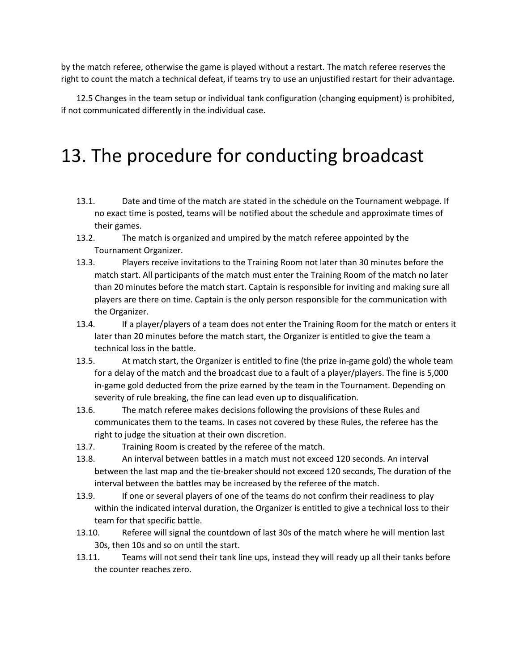by the match referee, otherwise the game is played without a restart. The match referee reserves the right to count the match a technical defeat, if teams try to use an unjustified restart for their advantage.

12.5 Changes in the team setup or individual tank configuration (changing equipment) is prohibited, if not communicated differently in the individual case.

# 13. The procedure for conducting broadcast

- 13.1. Date and time of the match are stated in the schedule on the Tournament webpage. If no exact time is posted, teams will be notified about the schedule and approximate times of their games.
- 13.2. The match is organized and umpired by the match referee appointed by the Tournament Organizer.
- 13.3. Players receive invitations to the Training Room not later than 30 minutes before the match start. All participants of the match must enter the Training Room of the match no later than 20 minutes before the match start. Captain is responsible for inviting and making sure all players are there on time. Captain is the only person responsible for the communication with the Organizer.
- 13.4. If a player/players of a team does not enter the Training Room for the match or enters it later than 20 minutes before the match start, the Organizer is entitled to give the team a technical loss in the battle.
- 13.5. At match start, the Organizer is entitled to fine (the prize in-game gold) the whole team for a delay of the match and the broadcast due to a fault of a player/players. The fine is 5,000 in-game gold deducted from the prize earned by the team in the Tournament. Depending on severity of rule breaking, the fine can lead even up to disqualification.
- 13.6. The match referee makes decisions following the provisions of these Rules and communicates them to the teams. In cases not covered by these Rules, the referee has the right to judge the situation at their own discretion.
- 13.7. Training Room is created by the referee of the match.
- 13.8. An interval between battles in a match must not exceed 120 seconds. An interval between the last map and the tie-breaker should not exceed 120 seconds, The duration of the interval between the battles may be increased by the referee of the match.
- 13.9. If one or several players of one of the teams do not confirm their readiness to play within the indicated interval duration, the Organizer is entitled to give a technical loss to their team for that specific battle.
- 13.10. Referee will signal the countdown of last 30s of the match where he will mention last 30s, then 10s and so on until the start.
- 13.11. Teams will not send their tank line ups, instead they will ready up all their tanks before the counter reaches zero.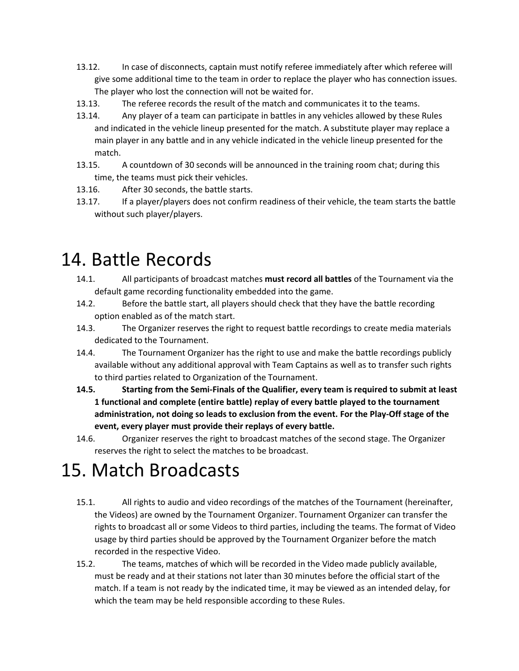- 13.12. In case of disconnects, captain must notify referee immediately after which referee will give some additional time to the team in order to replace the player who has connection issues. The player who lost the connection will not be waited for.
- 13.13. The referee records the result of the match and communicates it to the teams.
- 13.14. Any player of a team can participate in battles in any vehicles allowed by these Rules and indicated in the vehicle lineup presented for the match. A substitute player may replace a main player in any battle and in any vehicle indicated in the vehicle lineup presented for the match.
- 13.15. A countdown of 30 seconds will be announced in the training room chat; during this time, the teams must pick their vehicles.
- 13.16. After 30 seconds, the battle starts.
- 13.17. If a player/players does not confirm readiness of their vehicle, the team starts the battle without such player/players.

#### 14. Battle Records

- 14.1. All participants of broadcast matches **must record all battles** of the Tournament via the default game recording functionality embedded into the game.
- 14.2. Before the battle start, all players should check that they have the battle recording option enabled as of the match start.
- 14.3. The Organizer reserves the right to request battle recordings to create media materials dedicated to the Tournament.
- 14.4. The Tournament Organizer has the right to use and make the battle recordings publicly available without any additional approval with Team Captains as well as to transfer such rights to third parties related to Organization of the Tournament.
- **14.5. Starting from the Semi-Finals of the Qualifier, every team is required to submit at least 1 functional and complete (entire battle) replay of every battle played to the tournament administration, not doing so leads to exclusion from the event. For the Play-Off stage of the event, every player must provide their replays of every battle.**
- 14.6. Organizer reserves the right to broadcast matches of the second stage. The Organizer reserves the right to select the matches to be broadcast.

# 15. Match Broadcasts

- 15.1. All rights to audio and video recordings of the matches of the Tournament (hereinafter, the Videos) are owned by the Tournament Organizer. Tournament Organizer can transfer the rights to broadcast all or some Videos to third parties, including the teams. The format of Video usage by third parties should be approved by the Tournament Organizer before the match recorded in the respective Video.
- 15.2. The teams, matches of which will be recorded in the Video made publicly available, must be ready and at their stations not later than 30 minutes before the official start of the match. If a team is not ready by the indicated time, it may be viewed as an intended delay, for which the team may be held responsible according to these Rules.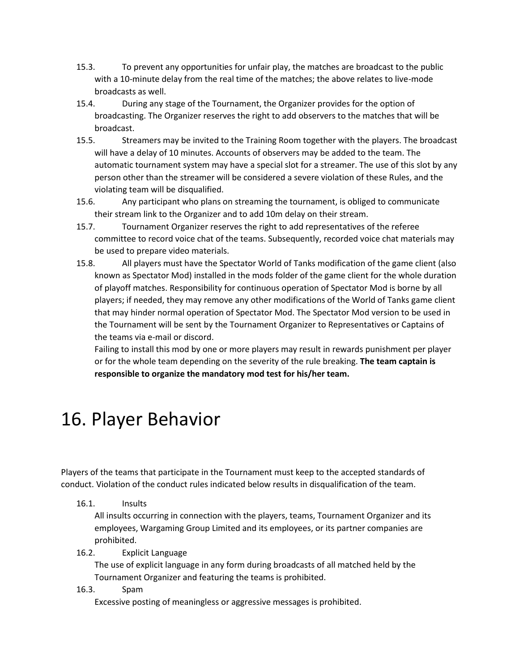- 15.3. To prevent any opportunities for unfair play, the matches are broadcast to the public with a 10-minute delay from the real time of the matches; the above relates to live-mode broadcasts as well.
- 15.4. During any stage of the Tournament, the Organizer provides for the option of broadcasting. The Organizer reserves the right to add observers to the matches that will be broadcast.
- 15.5. Streamers may be invited to the Training Room together with the players. The broadcast will have a delay of 10 minutes. Accounts of observers may be added to the team. The automatic tournament system may have a special slot for a streamer. The use of this slot by any person other than the streamer will be considered a severe violation of these Rules, and the violating team will be disqualified.
- 15.6. Any participant who plans on streaming the tournament, is obliged to communicate their stream link to the Organizer and to add 10m delay on their stream.
- 15.7. Tournament Organizer reserves the right to add representatives of the referee committee to record voice chat of the teams. Subsequently, recorded voice chat materials may be used to prepare video materials.
- 15.8. All players must have the Spectator World of Tanks modification of the game client (also known as Spectator Mod) installed in the mods folder of the game client for the whole duration of playoff matches. Responsibility for continuous operation of Spectator Mod is borne by all players; if needed, they may remove any other modifications of the World of Tanks game client that may hinder normal operation of Spectator Mod. The Spectator Mod version to be used in the Tournament will be sent by the Tournament Organizer to Representatives or Captains of the teams via e-mail or discord.

Failing to install this mod by one or more players may result in rewards punishment per player or for the whole team depending on the severity of the rule breaking. **The team captain is responsible to organize the mandatory mod test for his/her team.**

### 16. Player Behavior

Players of the teams that participate in the Tournament must keep to the accepted standards of conduct. Violation of the conduct rules indicated below results in disqualification of the team.

16.1. Insults

All insults occurring in connection with the players, teams, Tournament Organizer and its employees, Wargaming Group Limited and its employees, or its partner companies are prohibited.

16.2. Explicit Language

The use of explicit language in any form during broadcasts of all matched held by the Tournament Organizer and featuring the teams is prohibited.

16.3. Spam

Excessive posting of meaningless or aggressive messages is prohibited.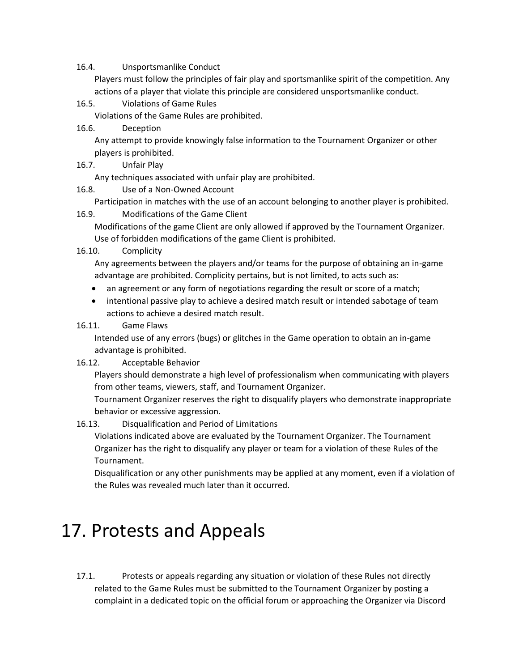#### 16.4. Unsportsmanlike Conduct

Players must follow the principles of fair play and sportsmanlike spirit of the competition. Any actions of a player that violate this principle are considered unsportsmanlike conduct.

16.5. Violations of Game Rules

Violations of the Game Rules are prohibited.

16.6. Deception

Any attempt to provide knowingly false information to the Tournament Organizer or other players is prohibited.

16.7. Unfair Play

Any techniques associated with unfair play are prohibited.

16.8. Use of a Non-Owned Account

Participation in matches with the use of an account belonging to another player is prohibited.

16.9. Modifications of the Game Client

Modifications of the game Client are only allowed if approved by the Tournament Organizer. Use of forbidden modifications of the game Client is prohibited.

16.10. Complicity

Any agreements between the players and/or teams for the purpose of obtaining an in-game advantage are prohibited. Complicity pertains, but is not limited, to acts such as:

- an agreement or any form of negotiations regarding the result or score of a match;
- intentional passive play to achieve a desired match result or intended sabotage of team actions to achieve a desired match result.

#### 16.11. Game Flaws

Intended use of any errors (bugs) or glitches in the Game operation to obtain an in-game advantage is prohibited.

16.12. Acceptable Behavior

Players should demonstrate a high level of professionalism when communicating with players from other teams, viewers, staff, and Tournament Organizer.

Tournament Organizer reserves the right to disqualify players who demonstrate inappropriate behavior or excessive aggression.

16.13. Disqualification and Period of Limitations

Violations indicated above are evaluated by the Tournament Organizer. The Tournament Organizer has the right to disqualify any player or team for a violation of these Rules of the Tournament.

Disqualification or any other punishments may be applied at any moment, even if a violation of the Rules was revealed much later than it occurred.

### 17. Protests and Appeals

17.1. Protests or appeals regarding any situation or violation of these Rules not directly related to the Game Rules must be submitted to the Tournament Organizer by posting a complaint in a dedicated topic on the official forum or approaching the Organizer via Discord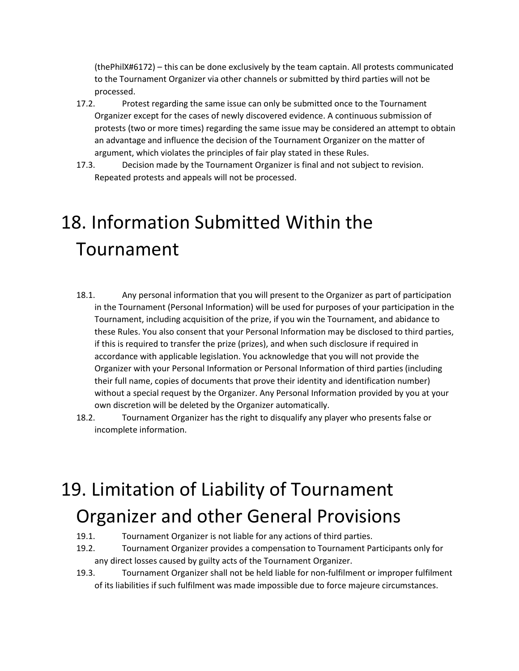(thePhilX#6172) – this can be done exclusively by the team captain. All protests communicated to the Tournament Organizer via other channels or submitted by third parties will not be processed.

- 17.2. Protest regarding the same issue can only be submitted once to the Tournament Organizer except for the cases of newly discovered evidence. A continuous submission of protests (two or more times) regarding the same issue may be considered an attempt to obtain an advantage and influence the decision of the Tournament Organizer on the matter of argument, which violates the principles of fair play stated in these Rules.
- 17.3. Decision made by the Tournament Organizer is final and not subject to revision. Repeated protests and appeals will not be processed.

# 18. Information Submitted Within the Tournament

- 18.1. Any personal information that you will present to the Organizer as part of participation in the Tournament (Personal Information) will be used for purposes of your participation in the Tournament, including acquisition of the prize, if you win the Tournament, and abidance to these Rules. You also consent that your Personal Information may be disclosed to third parties, if this is required to transfer the prize (prizes), and when such disclosure if required in accordance with applicable legislation. You acknowledge that you will not provide the Organizer with your Personal Information or Personal Information of third parties (including their full name, copies of documents that prove their identity and identification number) without a special request by the Organizer. Any Personal Information provided by you at your own discretion will be deleted by the Organizer automatically.
- 18.2. Tournament Organizer has the right to disqualify any player who presents false or incomplete information.

# 19. Limitation of Liability of Tournament Organizer and other General Provisions

- 19.1. Tournament Organizer is not liable for any actions of third parties.
- 19.2. Tournament Organizer provides a compensation to Tournament Participants only for any direct losses caused by guilty acts of the Tournament Organizer.
- 19.3. Tournament Organizer shall not be held liable for non-fulfilment or improper fulfilment of its liabilities if such fulfilment was made impossible due to force majeure circumstances.